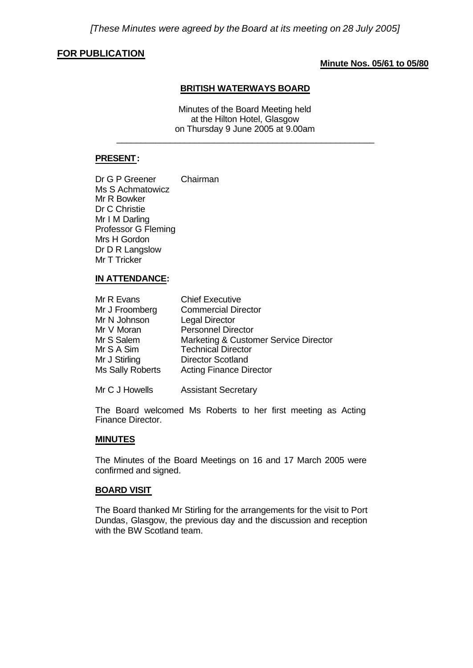## **FOR PUBLICATION**

## **Minute Nos. 05/61 to 05/80**

#### **BRITISH WATERWAYS BOARD**

Minutes of the Board Meeting held at the Hilton Hotel, Glasgow on Thursday 9 June 2005 at 9.00am

\_\_\_\_\_\_\_\_\_\_\_\_\_\_\_\_\_\_\_\_\_\_\_\_\_\_\_\_\_\_\_\_\_\_\_\_\_\_\_\_\_\_\_\_\_\_\_\_\_\_\_\_\_

## **PRESENT:**

Dr G P Greener Chairman Ms S Achmatowicz Mr R Bowker Dr C Christie Mr I M Darling Professor G Fleming Mrs H Gordon Dr D R Langslow Mr T Tricker

### **IN ATTENDANCE:**

| Mr R Evans       | <b>Chief Executive</b>                |
|------------------|---------------------------------------|
| Mr J Froomberg   | <b>Commercial Director</b>            |
| Mr N Johnson     | <b>Legal Director</b>                 |
| Mr V Moran       | <b>Personnel Director</b>             |
| Mr S Salem       | Marketing & Customer Service Director |
| Mr S A Sim       | <b>Technical Director</b>             |
| Mr J Stirling    | <b>Director Scotland</b>              |
| Ms Sally Roberts | <b>Acting Finance Director</b>        |
|                  |                                       |

Mr C J Howells Assistant Secretary

The Board welcomed Ms Roberts to her first meeting as Acting Finance Director.

## **MINUTES**

The Minutes of the Board Meetings on 16 and 17 March 2005 were confirmed and signed.

#### **BOARD VISIT**

The Board thanked Mr Stirling for the arrangements for the visit to Port Dundas, Glasgow, the previous day and the discussion and reception with the BW Scotland team.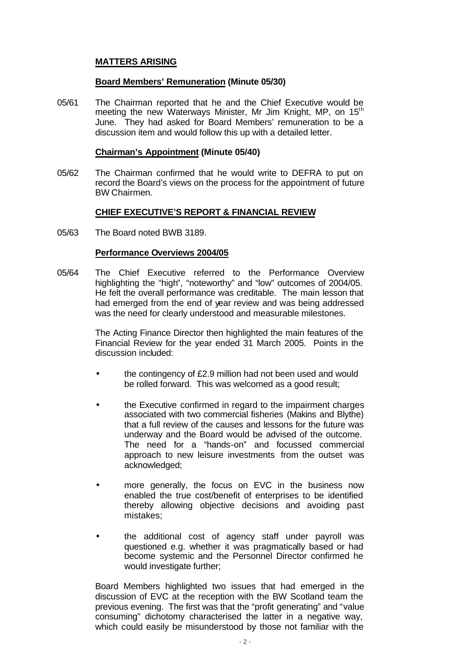## **MATTERS ARISING**

## **Board Members' Remuneration (Minute 05/30)**

05/61 The Chairman reported that he and the Chief Executive would be meeting the new Waterways Minister, Mr Jim Knight, MP, on 15<sup>th</sup> June. They had asked for Board Members' remuneration to be a discussion item and would follow this up with a detailed letter.

#### **Chairman's Appointment (Minute 05/40)**

05/62 The Chairman confirmed that he would write to DEFRA to put on record the Board's views on the process for the appointment of future BW Chairmen.

## **CHIEF EXECUTIVE'S REPORT & FINANCIAL REVIEW**

05/63 The Board noted BWB 3189.

### **Performance Overviews 2004/05**

05/64 The Chief Executive referred to the Performance Overview highlighting the "high", "noteworthy" and "low" outcomes of 2004/05. He felt the overall performance was creditable. The main lesson that had emerged from the end of year review and was being addressed was the need for clearly understood and measurable milestones.

> The Acting Finance Director then highlighted the main features of the Financial Review for the year ended 31 March 2005. Points in the discussion included:

- the contingency of £2.9 million had not been used and would be rolled forward. This was welcomed as a good result;
- the Executive confirmed in regard to the impairment charges associated with two commercial fisheries (Makins and Blythe) that a full review of the causes and lessons for the future was underway and the Board would be advised of the outcome. The need for a "hands-on" and focussed commercial approach to new leisure investments from the outset was acknowledged:
- more generally, the focus on EVC in the business now enabled the true cost/benefit of enterprises to be identified thereby allowing objective decisions and avoiding past mistakes;
- the additional cost of agency staff under payroll was questioned e.g. whether it was pragmatically based or had become systemic and the Personnel Director confirmed he would investigate further;

Board Members highlighted two issues that had emerged in the discussion of EVC at the reception with the BW Scotland team the previous evening. The first was that the "profit generating" and "value consuming" dichotomy characterised the latter in a negative way, which could easily be misunderstood by those not familiar with the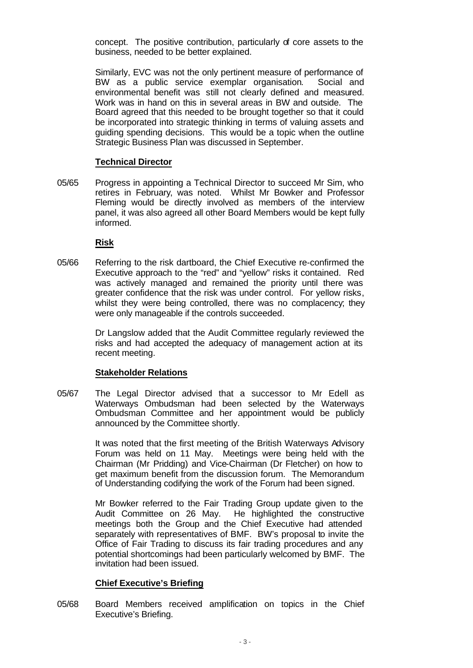concept. The positive contribution, particularly of core assets to the business, needed to be better explained.

Similarly, EVC was not the only pertinent measure of performance of BW as a public service exemplar organisation. Social and environmental benefit was still not clearly defined and measured. Work was in hand on this in several areas in BW and outside. The Board agreed that this needed to be brought together so that it could be incorporated into strategic thinking in terms of valuing assets and guiding spending decisions. This would be a topic when the outline Strategic Business Plan was discussed in September.

#### **Technical Director**

05/65 Progress in appointing a Technical Director to succeed Mr Sim, who retires in February, was noted. Whilst Mr Bowker and Professor Fleming would be directly involved as members of the interview panel, it was also agreed all other Board Members would be kept fully informed.

#### **Risk**

05/66 Referring to the risk dartboard, the Chief Executive re-confirmed the Executive approach to the "red" and "yellow" risks it contained. Red was actively managed and remained the priority until there was greater confidence that the risk was under control. For yellow risks, whilst they were being controlled, there was no complacency; they were only manageable if the controls succeeded.

> Dr Langslow added that the Audit Committee regularly reviewed the risks and had accepted the adequacy of management action at its recent meeting.

#### **Stakeholder Relations**

05/67 The Legal Director advised that a successor to Mr Edell as Waterways Ombudsman had been selected by the Waterways Ombudsman Committee and her appointment would be publicly announced by the Committee shortly.

> It was noted that the first meeting of the British Waterways Advisory Forum was held on 11 May. Meetings were being held with the Chairman (Mr Pridding) and Vice-Chairman (Dr Fletcher) on how to get maximum benefit from the discussion forum. The Memorandum of Understanding codifying the work of the Forum had been signed.

> Mr Bowker referred to the Fair Trading Group update given to the Audit Committee on 26 May. He highlighted the constructive meetings both the Group and the Chief Executive had attended separately with representatives of BMF. BW's proposal to invite the Office of Fair Trading to discuss its fair trading procedures and any potential shortcomings had been particularly welcomed by BMF. The invitation had been issued.

#### **Chief Executive's Briefing**

05/68 Board Members received amplification on topics in the Chief Executive's Briefing.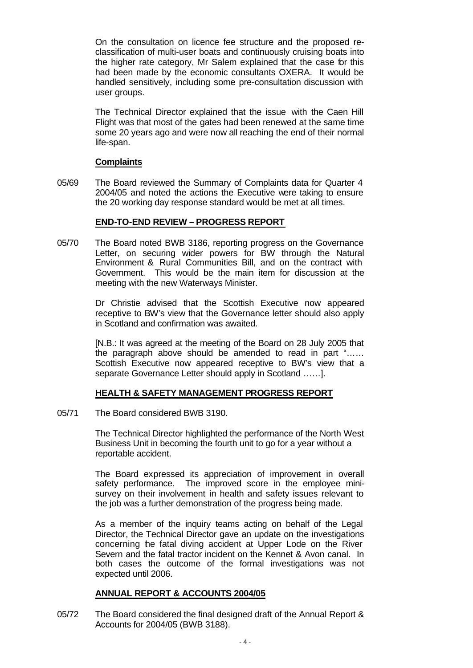On the consultation on licence fee structure and the proposed reclassification of multi-user boats and continuously cruising boats into the higher rate category, Mr Salem explained that the case for this had been made by the economic consultants OXERA. It would be handled sensitively, including some pre-consultation discussion with user groups.

The Technical Director explained that the issue with the Caen Hill Flight was that most of the gates had been renewed at the same time some 20 years ago and were now all reaching the end of their normal life-span.

### **Complaints**

05/69 The Board reviewed the Summary of Complaints data for Quarter 4 2004/05 and noted the actions the Executive were taking to ensure the 20 working day response standard would be met at all times.

### **END-TO-END REVIEW – PROGRESS REPORT**

05/70 The Board noted BWB 3186, reporting progress on the Governance Letter, on securing wider powers for BW through the Natural Environment & Rural Communities Bill, and on the contract with Government. This would be the main item for discussion at the meeting with the new Waterways Minister.

> Dr Christie advised that the Scottish Executive now appeared receptive to BW's view that the Governance letter should also apply in Scotland and confirmation was awaited.

> [N.B.: It was agreed at the meeting of the Board on 28 July 2005 that the paragraph above should be amended to read in part "…… Scottish Executive now appeared receptive to BW's view that a separate Governance Letter should apply in Scotland ……].

## **HEALTH & SAFETY MANAGEMENT PROGRESS REPORT**

05/71 The Board considered BWB 3190.

The Technical Director highlighted the performance of the North West Business Unit in becoming the fourth unit to go for a year without a reportable accident.

The Board expressed its appreciation of improvement in overall safety performance. The improved score in the employee minisurvey on their involvement in health and safety issues relevant to the job was a further demonstration of the progress being made.

As a member of the inquiry teams acting on behalf of the Legal Director, the Technical Director gave an update on the investigations concerning the fatal diving accident at Upper Lode on the River Severn and the fatal tractor incident on the Kennet & Avon canal. In both cases the outcome of the formal investigations was not expected until 2006.

#### **ANNUAL REPORT & ACCOUNTS 2004/05**

05/72 The Board considered the final designed draft of the Annual Report & Accounts for 2004/05 (BWB 3188).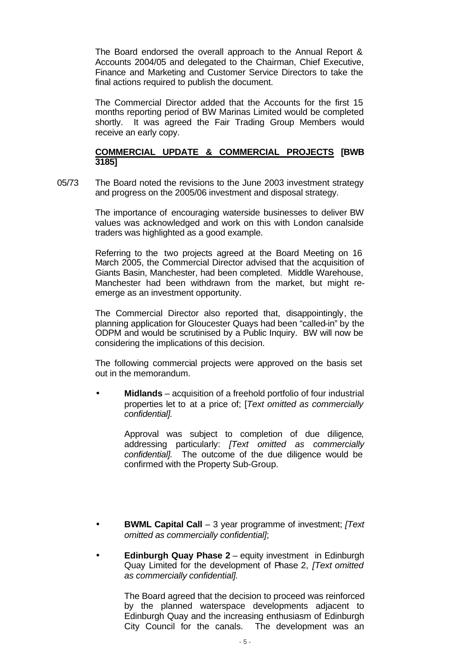The Board endorsed the overall approach to the Annual Report & Accounts 2004/05 and delegated to the Chairman, Chief Executive, Finance and Marketing and Customer Service Directors to take the final actions required to publish the document.

The Commercial Director added that the Accounts for the first 15 months reporting period of BW Marinas Limited would be completed shortly. It was agreed the Fair Trading Group Members would receive an early copy.

## **COMMERCIAL UPDATE & COMMERCIAL PROJECTS [BWB 3185]**

05/73 The Board noted the revisions to the June 2003 investment strategy and progress on the 2005/06 investment and disposal strategy.

> The importance of encouraging waterside businesses to deliver BW values was acknowledged and work on this with London canalside traders was highlighted as a good example.

> Referring to the two projects agreed at the Board Meeting on 16 March 2005, the Commercial Director advised that the acquisition of Giants Basin, Manchester, had been completed. Middle Warehouse, Manchester had been withdrawn from the market, but might reemerge as an investment opportunity.

> The Commercial Director also reported that, disappointingly, the planning application for Gloucester Quays had been "called-in" by the ODPM and would be scrutinised by a Public Inquiry. BW will now be considering the implications of this decision.

> The following commercial projects were approved on the basis set out in the memorandum.

> • **Midlands** – acquisition of a freehold portfolio of four industrial properties let to at a price of; [*Text omitted as commercially confidential].*

> > Approval was subject to completion of due diligence, addressing particularly: *[Text omitted as commercially confidential].* The outcome of the due diligence would be confirmed with the Property Sub-Group.

- **BWML Capital Call** 3 year programme of investment; *[Text omitted as commercially confidential]*;
- **Edinburgh Quay Phase 2** equity investment in Edinburgh Quay Limited for the development of Phase 2, *[Text omitted as commercially confidential].*

The Board agreed that the decision to proceed was reinforced by the planned waterspace developments adjacent to Edinburgh Quay and the increasing enthusiasm of Edinburgh City Council for the canals. The development was an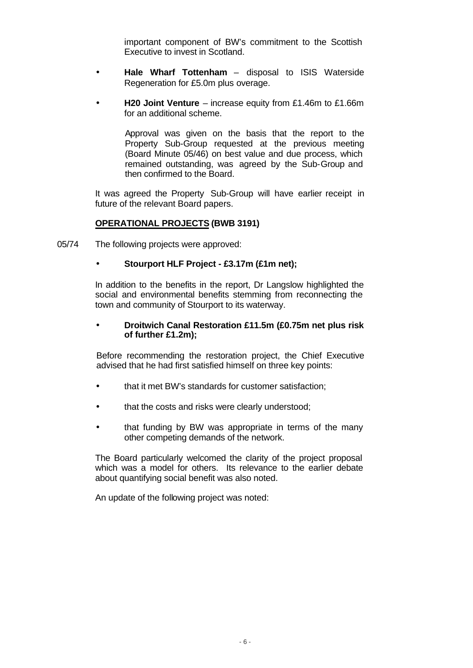important component of BW's commitment to the Scottish Executive to invest in Scotland.

- **Hale Wharf Tottenham** disposal to ISIS Waterside Regeneration for £5.0m plus overage.
- **H20 Joint Venture** increase equity from £1.46m to £1.66m for an additional scheme.

Approval was given on the basis that the report to the Property Sub-Group requested at the previous meeting (Board Minute 05/46) on best value and due process, which remained outstanding, was agreed by the Sub-Group and then confirmed to the Board.

It was agreed the Property Sub-Group will have earlier receipt in future of the relevant Board papers.

## **OPERATIONAL PROJECTS (BWB 3191)**

05/74 The following projects were approved:

## • **Stourport HLF Project - £3.17m (£1m net);**

In addition to the benefits in the report, Dr Langslow highlighted the social and environmental benefits stemming from reconnecting the town and community of Stourport to its waterway.

### • **Droitwich Canal Restoration £11.5m (£0.75m net plus risk of further £1.2m);**

Before recommending the restoration project, the Chief Executive advised that he had first satisfied himself on three key points:

- that it met BW's standards for customer satisfaction;
- that the costs and risks were clearly understood;
- that funding by BW was appropriate in terms of the many other competing demands of the network.

The Board particularly welcomed the clarity of the project proposal which was a model for others. Its relevance to the earlier debate about quantifying social benefit was also noted.

An update of the following project was noted: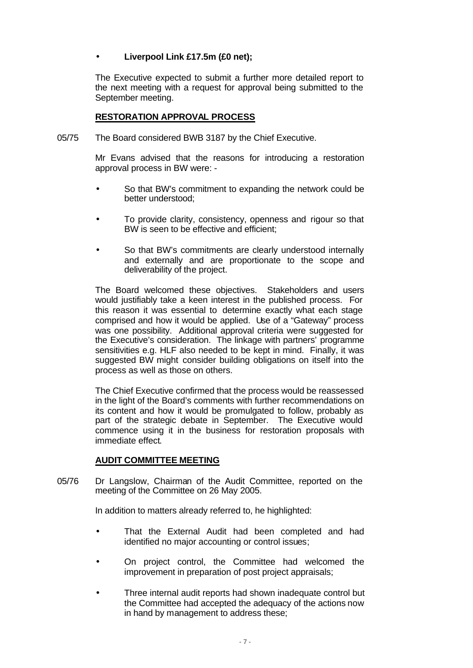# • **Liverpool Link £17.5m (£0 net);**

The Executive expected to submit a further more detailed report to the next meeting with a request for approval being submitted to the September meeting.

## **RESTORATION APPROVAL PROCESS**

05/75 The Board considered BWB 3187 by the Chief Executive.

Mr Evans advised that the reasons for introducing a restoration approval process in BW were: -

- So that BW's commitment to expanding the network could be better understood;
- To provide clarity, consistency, openness and rigour so that BW is seen to be effective and efficient;
- So that BW's commitments are clearly understood internally and externally and are proportionate to the scope and deliverability of the project.

The Board welcomed these objectives. Stakeholders and users would justifiably take a keen interest in the published process. For this reason it was essential to determine exactly what each stage comprised and how it would be applied. Use of a "Gateway" process was one possibility. Additional approval criteria were suggested for the Executive's consideration. The linkage with partners' programme sensitivities e.g. HLF also needed to be kept in mind. Finally, it was suggested BW might consider building obligations on itself into the process as well as those on others.

The Chief Executive confirmed that the process would be reassessed in the light of the Board's comments with further recommendations on its content and how it would be promulgated to follow, probably as part of the strategic debate in September. The Executive would commence using it in the business for restoration proposals with immediate effect.

## **AUDIT COMMITTEE MEETING**

05/76 Dr Langslow, Chairman of the Audit Committee, reported on the meeting of the Committee on 26 May 2005.

In addition to matters already referred to, he highlighted:

- That the External Audit had been completed and had identified no major accounting or control issues;
- On project control, the Committee had welcomed the improvement in preparation of post project appraisals;
- Three internal audit reports had shown inadequate control but the Committee had accepted the adequacy of the actions now in hand by management to address these;